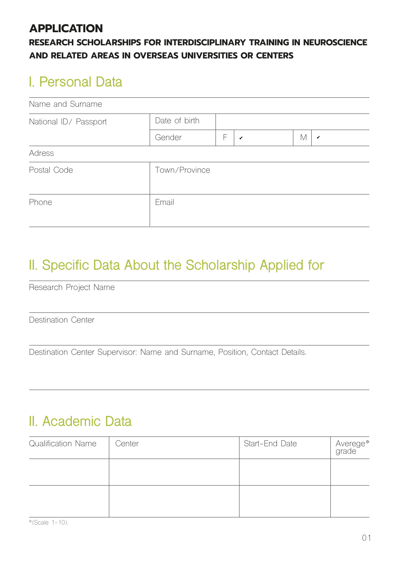### **APPLICATION**

#### **RESEARCH SCHOLARSHIPS FOR INTERDISCIPLINARY TRAINING IN NEUROSCIENCE AND RELATED AREAS IN OVERSEAS UNIVERSITIES OR CENTERS**

# **I. Personal Data**

| Name and Surname      |               |   |              |   |              |
|-----------------------|---------------|---|--------------|---|--------------|
| National ID/ Passport | Date of birth |   |              |   |              |
|                       | Gender        | F | $\checkmark$ | M | $\checkmark$ |
| Adress                |               |   |              |   |              |
| Postal Code           | Town/Province |   |              |   |              |
| Phone                 | Email         |   |              |   |              |

# **II. Specific Data About the Scholarship Applied for**

Research Project Name

Destination Center

Destination Center Supervisor: Name and Surname, Position, Contact Details.

# **II. Academic Data**

| <b>Qualification Name</b> | Center | Start-End Date | Averege*<br>grade |
|---------------------------|--------|----------------|-------------------|
|                           |        |                |                   |
|                           |        |                |                   |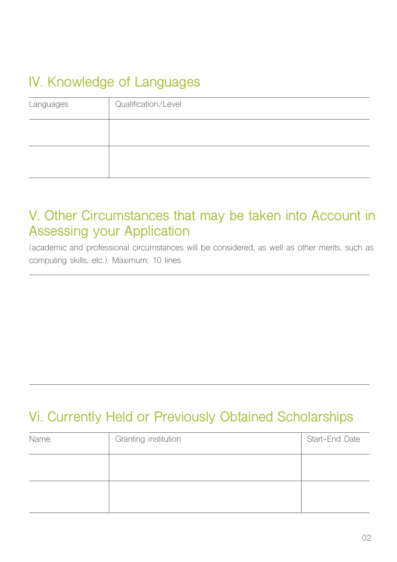# **IV. Knowledge of Languages**

| Languages | Qualification/Level |
|-----------|---------------------|
|           |                     |
|           |                     |
|           |                     |

### **V. Other Circumstances that may be taken into Account in Assessing your Application**

(academic and professional circumstances will be considered, as well as other merits, such as computing skills, etc.). Maximum: 10 lines

## **Vi. Currently Held or Previously Obtained Scholarships**

| Name | Granting institution | Start-End Date |
|------|----------------------|----------------|
|      |                      |                |
|      |                      |                |
|      |                      |                |